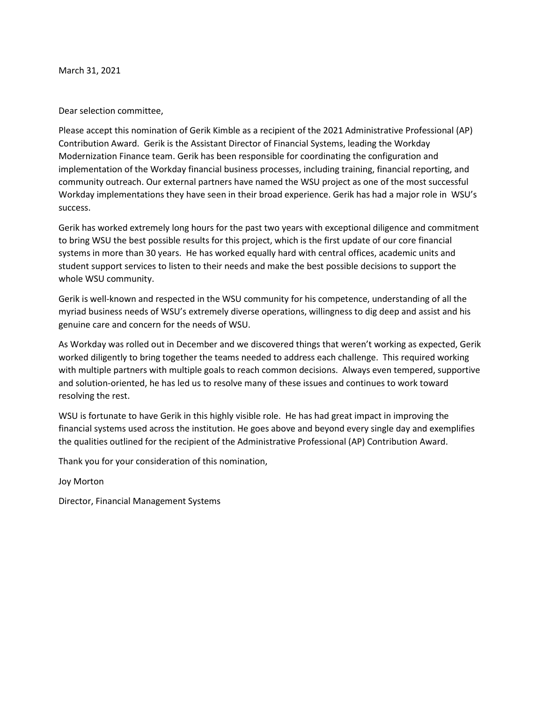March 31, 2021

Dear selection committee,

Please accept this nomination of Gerik Kimble as a recipient of the 2021 Administrative Professional (AP) Contribution Award. Gerik is the Assistant Director of Financial Systems, leading the Workday Modernization Finance team. Gerik has been responsible for coordinating the configuration and implementation of the Workday financial business processes, including training, financial reporting, and community outreach. Our external partners have named the WSU project as one of the most successful Workday implementations they have seen in their broad experience. Gerik has had a major role in WSU's success.

Gerik has worked extremely long hours for the past two years with exceptional diligence and commitment to bring WSU the best possible results for this project, which is the first update of our core financial systems in more than 30 years. He has worked equally hard with central offices, academic units and student support services to listen to their needs and make the best possible decisions to support the whole WSU community.

Gerik is well-known and respected in the WSU community for his competence, understanding of all the myriad business needs of WSU's extremely diverse operations, willingness to dig deep and assist and his genuine care and concern for the needs of WSU.

As Workday was rolled out in December and we discovered things that weren't working as expected, Gerik worked diligently to bring together the teams needed to address each challenge. This required working with multiple partners with multiple goals to reach common decisions. Always even tempered, supportive and solution-oriented, he has led us to resolve many of these issues and continues to work toward resolving the rest.

WSU is fortunate to have Gerik in this highly visible role. He has had great impact in improving the financial systems used across the institution. He goes above and beyond every single day and exemplifies the qualities outlined for the recipient of the Administrative Professional (AP) Contribution Award.

Thank you for your consideration of this nomination,

Joy Morton

Director, Financial Management Systems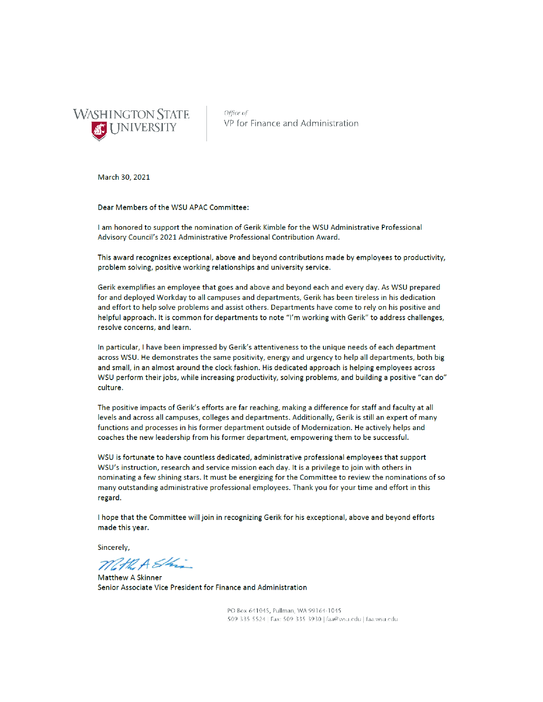

Office of VP for Finance and Administration

March 30, 2021

Dear Members of the WSU APAC Committee:

I am honored to support the nomination of Gerik Kimble for the WSU Administrative Professional Advisory Council's 2021 Administrative Professional Contribution Award.

This award recognizes exceptional, above and beyond contributions made by employees to productivity, problem solving, positive working relationships and university service.

Gerik exemplifies an employee that goes and above and beyond each and every day. As WSU prepared for and deployed Workday to all campuses and departments, Gerik has been tireless in his dedication and effort to help solve problems and assist others. Departments have come to rely on his positive and helpful approach. It is common for departments to note "I'm working with Gerik" to address challenges, resolve concerns, and learn.

In particular, I have been impressed by Gerik's attentiveness to the unique needs of each department across WSU. He demonstrates the same positivity, energy and urgency to help all departments, both big and small, in an almost around the clock fashion. His dedicated approach is helping employees across WSU perform their jobs, while increasing productivity, solving problems, and building a positive "can do" culture.

The positive impacts of Gerik's efforts are far reaching, making a difference for staff and faculty at all levels and across all campuses, colleges and departments. Additionally, Gerik is still an expert of many functions and processes in his former department outside of Modernization. He actively helps and coaches the new leadership from his former department, empowering them to be successful.

WSU is fortunate to have countless dedicated, administrative professional employees that support WSU's instruction, research and service mission each day. It is a privilege to join with others in nominating a few shining stars. It must be energizing for the Committee to review the nominations of so many outstanding administrative professional employees. Thank you for your time and effort in this regard.

I hope that the Committee will join in recognizing Gerik for his exceptional, above and beyond efforts made this year.

Sincerely,

MARAShi

**Matthew A Skinner** Senior Associate Vice President for Finance and Administration

PO Box 641045, Pullman, WA 99164-1045 509 335 5524 | Fax: 509 335 3930 | faa@wsu.edu | faa.wsu.edu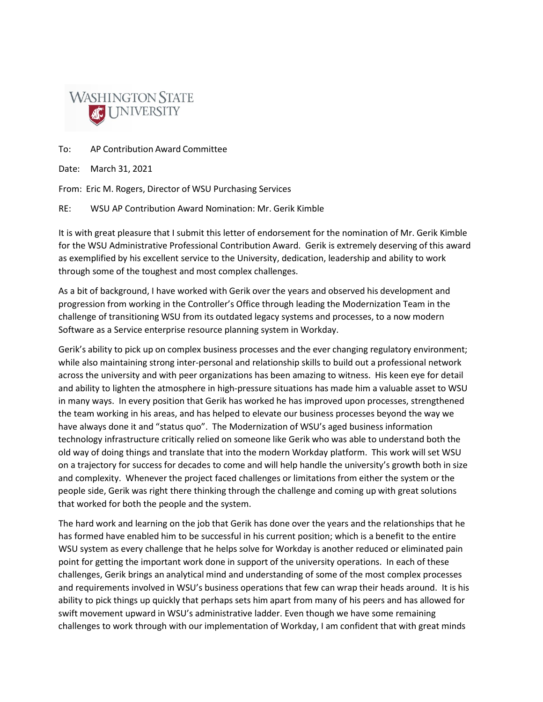

To: AP Contribution Award Committee

Date: March 31, 2021

From: Eric M. Rogers, Director of WSU Purchasing Services

RE: WSU AP Contribution Award Nomination: Mr. Gerik Kimble

It is with great pleasure that I submit this letter of endorsement for the nomination of Mr. Gerik Kimble for the WSU Administrative Professional Contribution Award. Gerik is extremely deserving of this award as exemplified by his excellent service to the University, dedication, leadership and ability to work through some of the toughest and most complex challenges.

As a bit of background, I have worked with Gerik over the years and observed his development and progression from working in the Controller's Office through leading the Modernization Team in the challenge of transitioning WSU from its outdated legacy systems and processes, to a now modern Software as a Service enterprise resource planning system in Workday.

Gerik's ability to pick up on complex business processes and the ever changing regulatory environment; while also maintaining strong inter-personal and relationship skills to build out a professional network across the university and with peer organizations has been amazing to witness. His keen eye for detail and ability to lighten the atmosphere in high-pressure situations has made him a valuable asset to WSU in many ways. In every position that Gerik has worked he has improved upon processes, strengthened the team working in his areas, and has helped to elevate our business processes beyond the way we have always done it and "status quo". The Modernization of WSU's aged business information technology infrastructure critically relied on someone like Gerik who was able to understand both the old way of doing things and translate that into the modern Workday platform. This work will set WSU on a trajectory for success for decades to come and will help handle the university's growth both in size and complexity. Whenever the project faced challenges or limitations from either the system or the people side, Gerik was right there thinking through the challenge and coming up with great solutions that worked for both the people and the system.

The hard work and learning on the job that Gerik has done over the years and the relationships that he has formed have enabled him to be successful in his current position; which is a benefit to the entire WSU system as every challenge that he helps solve for Workday is another reduced or eliminated pain point for getting the important work done in support of the university operations. In each of these challenges, Gerik brings an analytical mind and understanding of some of the most complex processes and requirements involved in WSU's business operations that few can wrap their heads around. It is his ability to pick things up quickly that perhaps sets him apart from many of his peers and has allowed for swift movement upward in WSU's administrative ladder. Even though we have some remaining challenges to work through with our implementation of Workday, I am confident that with great minds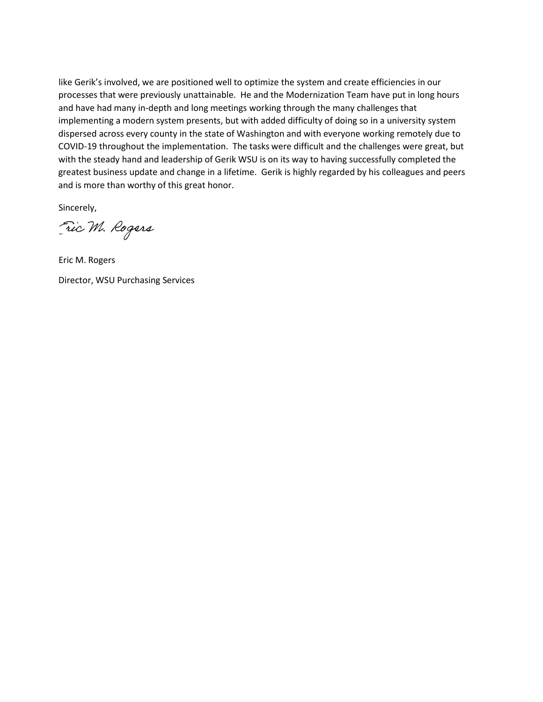like Gerik's involved, we are positioned well to optimize the system and create efficiencies in our processes that were previously unattainable. He and the Modernization Team have put in long hours and have had many in-depth and long meetings working through the many challenges that implementing a modern system presents, but with added difficulty of doing so in a university system dispersed across every county in the state of Washington and with everyone working remotely due to COVID-19 throughout the implementation. The tasks were difficult and the challenges were great, but with the steady hand and leadership of Gerik WSU is on its way to having successfully completed the greatest business update and change in a lifetime. Gerik is highly regarded by his colleagues and peers and is more than worthy of this great honor.

Sincerely,

Fric M. Rogers

Eric M. Rogers Director, WSU Purchasing Services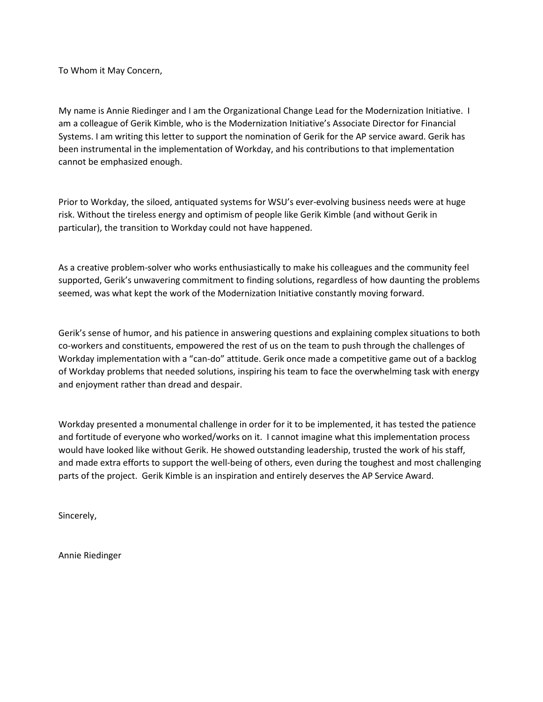To Whom it May Concern,

My name is Annie Riedinger and I am the Organizational Change Lead for the Modernization Initiative. I am a colleague of Gerik Kimble, who is the Modernization Initiative's Associate Director for Financial Systems. I am writing this letter to support the nomination of Gerik for the AP service award. Gerik has been instrumental in the implementation of Workday, and his contributions to that implementation cannot be emphasized enough.

Prior to Workday, the siloed, antiquated systems for WSU's ever-evolving business needs were at huge risk. Without the tireless energy and optimism of people like Gerik Kimble (and without Gerik in particular), the transition to Workday could not have happened.

As a creative problem-solver who works enthusiastically to make his colleagues and the community feel supported, Gerik's unwavering commitment to finding solutions, regardless of how daunting the problems seemed, was what kept the work of the Modernization Initiative constantly moving forward.

Gerik's sense of humor, and his patience in answering questions and explaining complex situations to both co-workers and constituents, empowered the rest of us on the team to push through the challenges of Workday implementation with a "can-do" attitude. Gerik once made a competitive game out of a backlog of Workday problems that needed solutions, inspiring his team to face the overwhelming task with energy and enjoyment rather than dread and despair.

Workday presented a monumental challenge in order for it to be implemented, it has tested the patience and fortitude of everyone who worked/works on it. I cannot imagine what this implementation process would have looked like without Gerik. He showed outstanding leadership, trusted the work of his staff, and made extra efforts to support the well-being of others, even during the toughest and most challenging parts of the project. Gerik Kimble is an inspiration and entirely deserves the AP Service Award.

Sincerely,

Annie Riedinger